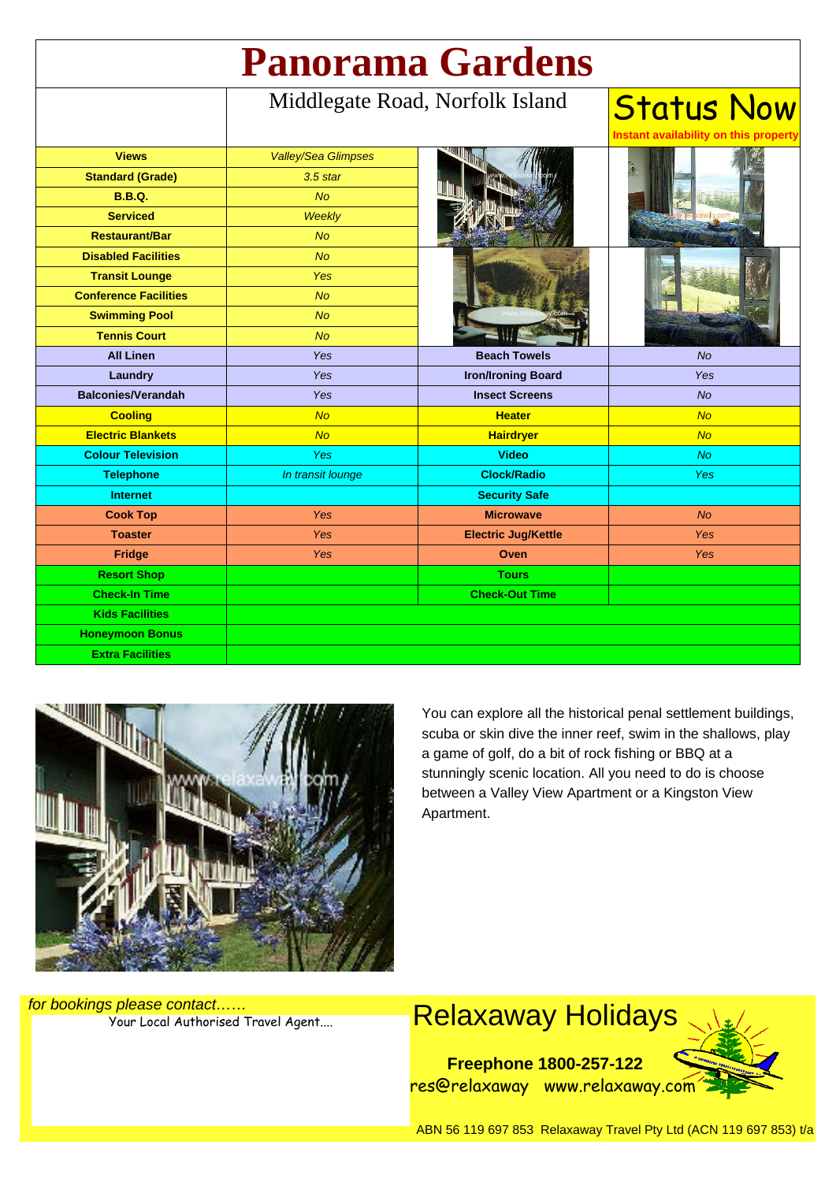| <b>Panorama Gardens</b>      |                                 |                            |                                                            |
|------------------------------|---------------------------------|----------------------------|------------------------------------------------------------|
|                              | Middlegate Road, Norfolk Island |                            | <b>Status Now</b><br>Instant availability on this property |
| <b>Views</b>                 | <b>Valley/Sea Glimpses</b>      |                            |                                                            |
| <b>Standard (Grade)</b>      | $3.5$ star                      |                            |                                                            |
| <b>B.B.Q.</b>                | No                              |                            |                                                            |
| <b>Serviced</b>              | <b>Weekly</b>                   |                            |                                                            |
| <b>Restaurant/Bar</b>        | <b>No</b>                       |                            |                                                            |
| <b>Disabled Facilities</b>   | <b>No</b>                       |                            |                                                            |
| <b>Transit Lounge</b>        | <b>Yes</b>                      |                            |                                                            |
| <b>Conference Facilities</b> | <b>No</b>                       |                            |                                                            |
| <b>Swimming Pool</b>         | <b>No</b>                       |                            |                                                            |
| <b>Tennis Court</b>          | <b>No</b>                       |                            |                                                            |
| <b>All Linen</b>             | <b>Yes</b>                      | <b>Beach Towels</b>        | No                                                         |
| Laundry                      | Yes                             | <b>Iron/Ironing Board</b>  | Yes                                                        |
| <b>Balconies/Verandah</b>    | Yes                             | <b>Insect Screens</b>      | No                                                         |
| <b>Cooling</b>               | <b>No</b>                       | <b>Heater</b>              | <b>No</b>                                                  |
| <b>Electric Blankets</b>     | <b>No</b>                       | <b>Hairdryer</b>           | No                                                         |
| <b>Colour Television</b>     | Yes                             | <b>Video</b>               | <b>No</b>                                                  |
| <b>Telephone</b>             | In transit lounge               | <b>Clock/Radio</b>         | Yes                                                        |
| <b>Internet</b>              |                                 | <b>Security Safe</b>       |                                                            |
| <b>Cook Top</b>              | Yes                             | <b>Microwave</b>           | <b>No</b>                                                  |
| <b>Toaster</b>               | Yes                             | <b>Electric Jug/Kettle</b> | <b>Yes</b>                                                 |
| <b>Fridge</b>                | Yes                             | Oven                       | Yes                                                        |
| <b>Resort Shop</b>           |                                 | <b>Tours</b>               |                                                            |
| <b>Check-In Time</b>         |                                 | <b>Check-Out Time</b>      |                                                            |
| <b>Kids Facilities</b>       |                                 |                            |                                                            |
| <b>Honeymoon Bonus</b>       |                                 |                            |                                                            |
| <b>Extra Facilities</b>      |                                 |                            |                                                            |



You can explore all the historical penal settlement buildings, scuba or skin dive the inner reef, swim in the shallows, play a game of golf, do a bit of rock fishing or BBQ at a stunningly scenic location. All you need to do is choose between a Valley View Apartment or a Kingston View Apartment.



for bookings please contact……